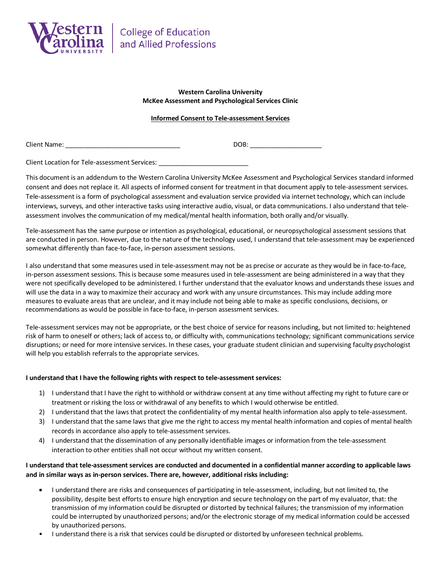

## **Western Carolina University McKee Assessment and Psychological Services Clinic**

## **Informed Consent to Tele-assessment Services**

Client Name: \_\_\_\_\_\_\_\_\_\_\_\_\_\_\_\_\_\_\_\_\_\_\_\_\_\_\_\_\_\_\_\_ DOB: \_\_\_\_\_\_\_\_\_\_\_\_\_\_\_\_\_\_\_\_

Client Location for Tele-assessment Services: \_\_\_\_\_\_

This document is an addendum to the Western Carolina University McKee Assessment and Psychological Services standard informed consent and does not replace it. All aspects of informed consent for treatment in that document apply to tele-assessment services. Tele-assessment is a form of psychological assessment and evaluation service provided via internet technology, which can include interviews, surveys, and other interactive tasks using interactive audio, visual, or data communications. I also understand that teleassessment involves the communication of my medical/mental health information, both orally and/or visually.

Tele-assessment has the same purpose or intention as psychological, educational, or neuropsychological assessment sessions that are conducted in person. However, due to the nature of the technology used, I understand that tele-assessment may be experienced somewhat differently than face-to-face, in-person assessment sessions.

I also understand that some measures used in tele-assessment may not be as precise or accurate as they would be in face-to-face, in-person assessment sessions. This is because some measures used in tele-assessment are being administered in a way that they were not specifically developed to be administered. I further understand that the evaluator knows and understands these issues and will use the data in a way to maximize their accuracy and work with any unsure circumstances. This may include adding more measures to evaluate areas that are unclear, and it may include not being able to make as specific conclusions, decisions, or recommendations as would be possible in face-to-face, in-person assessment services.

Tele-assessment services may not be appropriate, or the best choice of service for reasons including, but not limited to: heightened risk of harm to oneself or others; lack of access to, or difficulty with, communications technology; significant communications service disruptions; or need for more intensive services. In these cases, your graduate student clinician and supervising faculty psychologist will help you establish referrals to the appropriate services.

### **I understand that I have the following rights with respect to tele-assessment services:**

- 1) I understand that I have the right to withhold or withdraw consent at any time without affecting my right to future care or treatment or risking the loss or withdrawal of any benefits to which I would otherwise be entitled.
- 2) I understand that the laws that protect the confidentiality of my mental health information also apply to tele-assessment.
- 3) I understand that the same laws that give me the right to access my mental health information and copies of mental health records in accordance also apply to tele-assessment services.
- 4) I understand that the dissemination of any personally identifiable images or information from the tele-assessment interaction to other entities shall not occur without my written consent.

# **I understand that tele-assessment services are conducted and documented in a confidential manner according to applicable laws and in similar ways as in-person services. There are, however, additional risks including:**

- I understand there are risks and consequences of participating in tele-assessment, including, but not limited to, the possibility, despite best efforts to ensure high encryption and secure technology on the part of my evaluator, that: the transmission of my information could be disrupted or distorted by technical failures; the transmission of my information could be interrupted by unauthorized persons; and/or the electronic storage of my medical information could be accessed by unauthorized persons.
- I understand there is a risk that services could be disrupted or distorted by unforeseen technical problems.